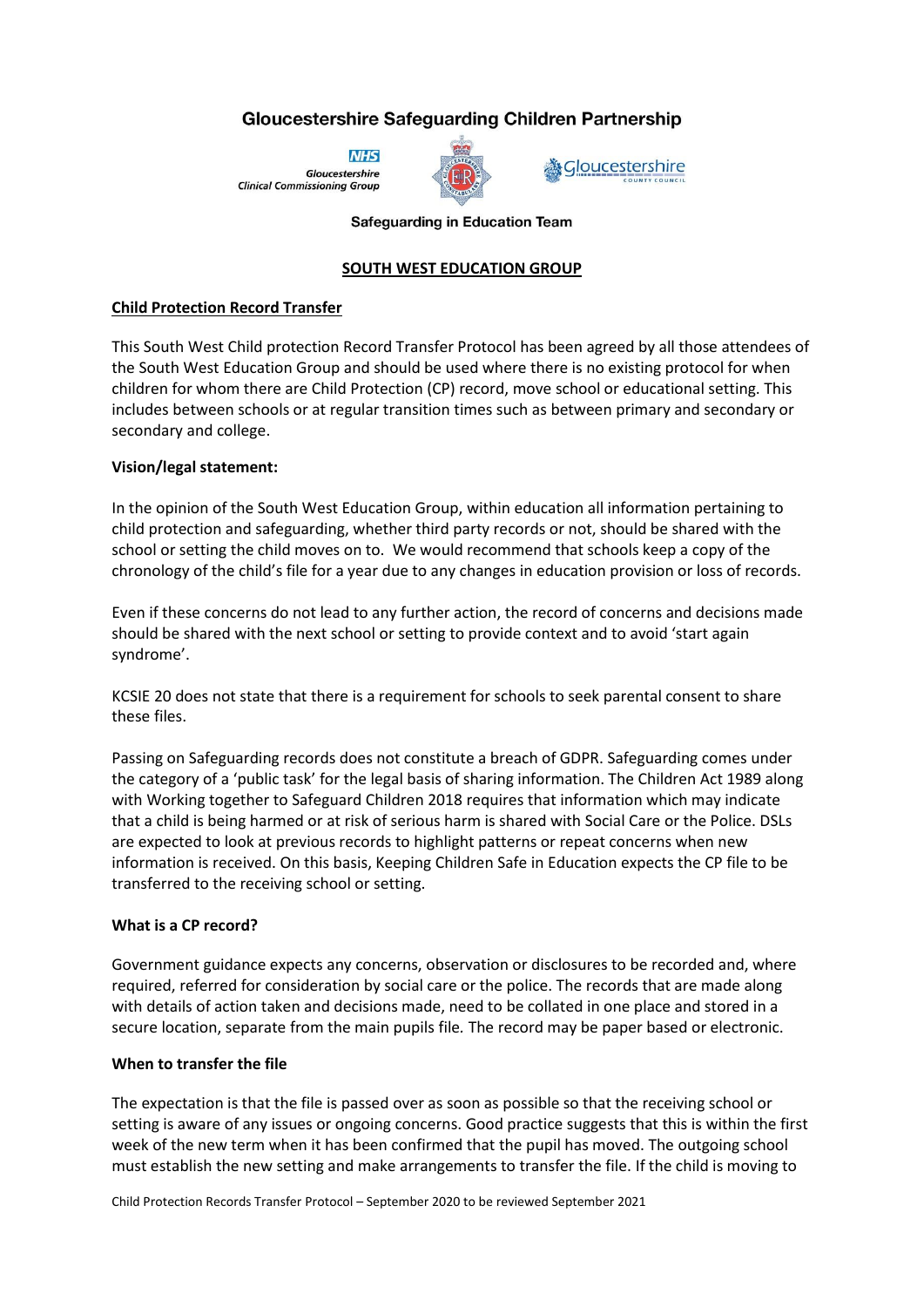## **Gloucestershire Safeguarding Children Partnership**

**NHS** Gloucestershire **Clinical Commissioning Group** 



# Gloucestershire

#### **Safeguarding in Education Team**

## **SOUTH WEST EDUCATION GROUP**

## **Child Protection Record Transfer**

This South West Child protection Record Transfer Protocol has been agreed by all those attendees of the South West Education Group and should be used where there is no existing protocol for when children for whom there are Child Protection (CP) record, move school or educational setting. This includes between schools or at regular transition times such as between primary and secondary or secondary and college.

## **Vision/legal statement:**

In the opinion of the South West Education Group, within education all information pertaining to child protection and safeguarding, whether third party records or not, should be shared with the school or setting the child moves on to. We would recommend that schools keep a copy of the chronology of the child's file for a year due to any changes in education provision or loss of records.

Even if these concerns do not lead to any further action, the record of concerns and decisions made should be shared with the next school or setting to provide context and to avoid 'start again syndrome'.

KCSIE 20 does not state that there is a requirement for schools to seek parental consent to share these files.

Passing on Safeguarding records does not constitute a breach of GDPR. Safeguarding comes under the category of a 'public task' for the legal basis of sharing information. The Children Act 1989 along with Working together to Safeguard Children 2018 requires that information which may indicate that a child is being harmed or at risk of serious harm is shared with Social Care or the Police. DSLs are expected to look at previous records to highlight patterns or repeat concerns when new information is received. On this basis, Keeping Children Safe in Education expects the CP file to be transferred to the receiving school or setting.

## **What is a CP record?**

Government guidance expects any concerns, observation or disclosures to be recorded and, where required, referred for consideration by social care or the police. The records that are made along with details of action taken and decisions made, need to be collated in one place and stored in a secure location, separate from the main pupils file*.* The record may be paper based or electronic.

#### **When to transfer the file**

The expectation is that the file is passed over as soon as possible so that the receiving school or setting is aware of any issues or ongoing concerns. Good practice suggests that this is within the first week of the new term when it has been confirmed that the pupil has moved. The outgoing school must establish the new setting and make arrangements to transfer the file. If the child is moving to

Child Protection Records Transfer Protocol – September 2020 to be reviewed September 2021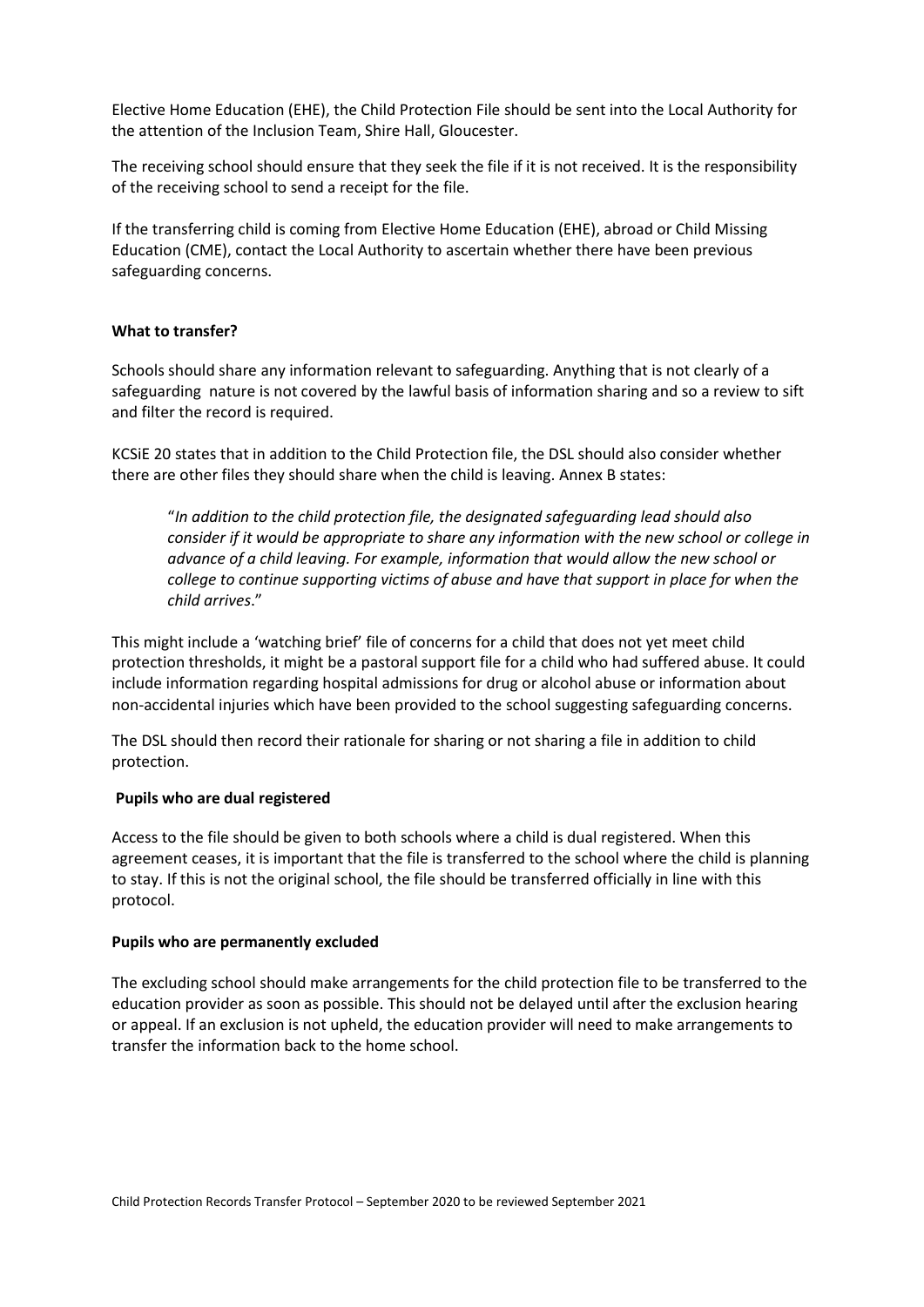Elective Home Education (EHE), the Child Protection File should be sent into the Local Authority for the attention of the Inclusion Team, Shire Hall, Gloucester.

The receiving school should ensure that they seek the file if it is not received. It is the responsibility of the receiving school to send a receipt for the file.

If the transferring child is coming from Elective Home Education (EHE), abroad or Child Missing Education (CME), contact the Local Authority to ascertain whether there have been previous safeguarding concerns.

#### **What to transfer?**

Schools should share any information relevant to safeguarding. Anything that is not clearly of a safeguarding nature is not covered by the lawful basis of information sharing and so a review to sift and filter the record is required.

KCSiE 20 states that in addition to the Child Protection file, the DSL should also consider whether there are other files they should share when the child is leaving. Annex B states:

"*In addition to the child protection file, the designated safeguarding lead should also consider if it would be appropriate to share any information with the new school or college in advance of a child leaving. For example, information that would allow the new school or college to continue supporting victims of abuse and have that support in place for when the child arrives*."

This might include a 'watching brief' file of concerns for a child that does not yet meet child protection thresholds, it might be a pastoral support file for a child who had suffered abuse. It could include information regarding hospital admissions for drug or alcohol abuse or information about non-accidental injuries which have been provided to the school suggesting safeguarding concerns.

The DSL should then record their rationale for sharing or not sharing a file in addition to child protection.

#### **Pupils who are dual registered**

Access to the file should be given to both schools where a child is dual registered. When this agreement ceases, it is important that the file is transferred to the school where the child is planning to stay. If this is not the original school, the file should be transferred officially in line with this protocol.

#### **Pupils who are permanently excluded**

The excluding school should make arrangements for the child protection file to be transferred to the education provider as soon as possible. This should not be delayed until after the exclusion hearing or appeal. If an exclusion is not upheld, the education provider will need to make arrangements to transfer the information back to the home school.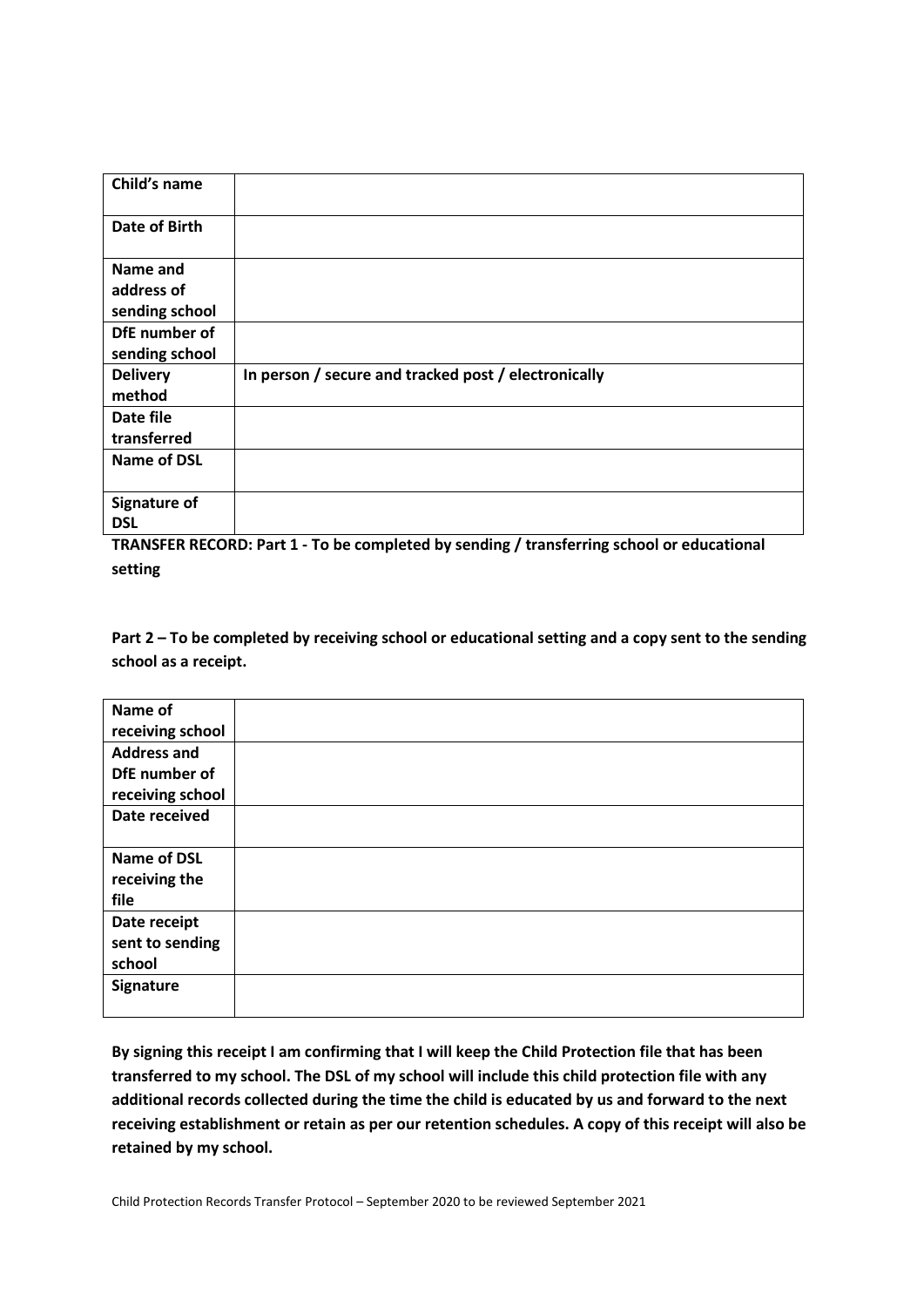| Child's name                    |                                                      |
|---------------------------------|------------------------------------------------------|
| Date of Birth                   |                                                      |
| Name and                        |                                                      |
| address of<br>sending school    |                                                      |
| DfE number of<br>sending school |                                                      |
| <b>Delivery</b>                 | In person / secure and tracked post / electronically |
| method<br>Date file             |                                                      |
| transferred                     |                                                      |
| <b>Name of DSL</b>              |                                                      |
| <b>Signature of</b>             |                                                      |
| <b>DSL</b>                      |                                                      |

**TRANSFER RECORD: Part 1 - To be completed by sending / transferring school or educational setting**

**Part 2 – To be completed by receiving school or educational setting and a copy sent to the sending school as a receipt.**

| Name of            |  |
|--------------------|--|
| receiving school   |  |
| <b>Address and</b> |  |
| DfE number of      |  |
| receiving school   |  |
| Date received      |  |
|                    |  |
| <b>Name of DSL</b> |  |
| receiving the      |  |
| file               |  |
| Date receipt       |  |
| sent to sending    |  |
| school             |  |
| Signature          |  |
|                    |  |

**By signing this receipt I am confirming that I will keep the Child Protection file that has been transferred to my school. The DSL of my school will include this child protection file with any additional records collected during the time the child is educated by us and forward to the next receiving establishment or retain as per our retention schedules. A copy of this receipt will also be retained by my school.**